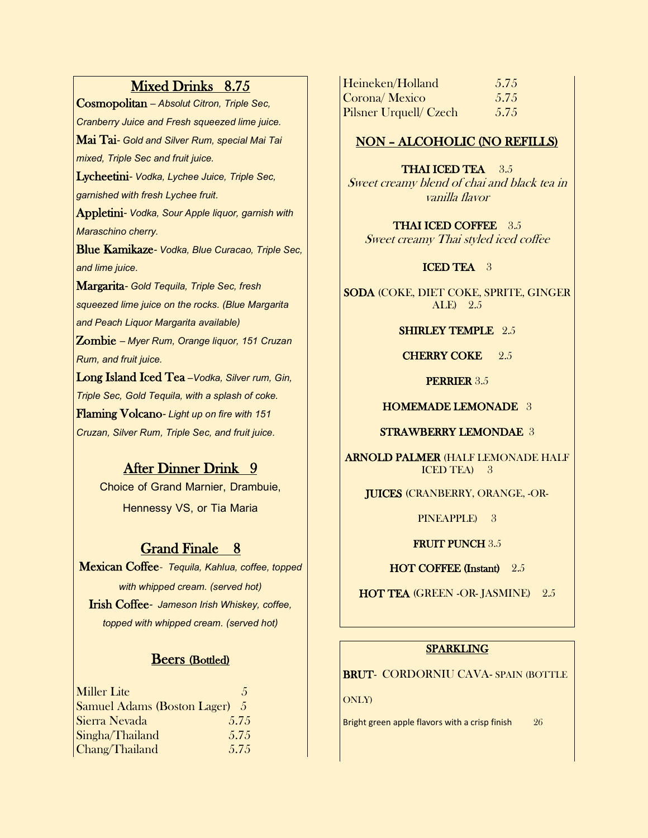# Mixed Drinks 8.75

Cosmopolitan *– Absolut Citron, Triple Sec, Cranberry Juice and Fresh squeezed lime juice.*  Mai Tai*- Gold and Silver Rum, special Mai Tai mixed, Triple Sec and fruit juice.* Lycheetini*- Vodka, Lychee Juice, Triple Sec, garnished with fresh Lychee fruit.* Appletini*- Vodka, Sour Apple liquor, garnish with Maraschino cherry.* Blue Kamikaze*- Vodka, Blue Curacao, Triple Sec,* 

*and lime juice.*

Margarita*- Gold Tequila, Triple Sec, fresh squeezed lime juice on the rocks. (Blue Margarita and Peach Liquor Margarita available)*

Zombie *– Myer Rum, Orange liquor, 151 Cruzan Rum, and fruit juice.*

Long Island Iced Tea *–Vodka, Silver rum, Gin, Triple Sec, Gold Tequila, with a splash of coke.* Flaming Volcano*-Light upon fire with 151 Cruzan, Silver Rum, Triple Sec, and fruit juice.*

# After Dinner Drink 9

**Choice of Grand Marnier, Drambuie, Hennessy VS, or Tia Maria**

# Grand Finale 8

Mexican Coffee- *Tequila, Kahlua, coffee, topped with whipped cream. (served hot)* Irish Coffee*- Jameson Irish Whiskey, coffee, topped with whipped cream. (served hot)*

# Beers (Bottled)

| Miller Lite                        | $\sqrt{2}$ |
|------------------------------------|------------|
| <b>Samuel Adams (Boston Lager)</b> | $\sqrt{2}$ |
| Sierra Nevada                      | 5.75       |
| Singha/Thailand                    | 5.75       |
| Chang/Thailand                     | 5.75       |

| Heineken/Holland              | 5.75 |
|-------------------------------|------|
| Corona/ Mexico                | 5.75 |
| <b>Pilsner Urquell/ Czech</b> | 5.75 |

# NON – ALCOHOLIC (NO REFILLS)

THAI ICED TEA 3.5 Sweet creamy blend of chai and black tea in vanilla flavor

THAI ICED COFFEE 3.5 Sweet creamy Thai styled iced coffee

## ICED TEA 3

SODA (COKE, DIET COKE, SPRITE, GINGER ALE) 2.5

SHIRLEY TEMPLE 2.5

CHERRY COKE 2.5

PERRIER 3.5

## HOMEMADE LEMONADE 3

## STRAWBERRY LEMONDAE 3

ARNOLD PALMER (HALF LEMONADE HALF ICED TEA) 3

JUICES (CRANBERRY, ORANGE, -OR-

PINEAPPLE) 3

## FRUIT PUNCH 3.5

HOT COFFEE (Instant) 2.5

HOT TEA (GREEN -OR- JASMINE) 2.5

# SPARKLING

BRUT- CORDORNIU CAVA- SPAIN (BOTTLE

#### ONLY)

Bright green apple flavors with a crisp finish 26